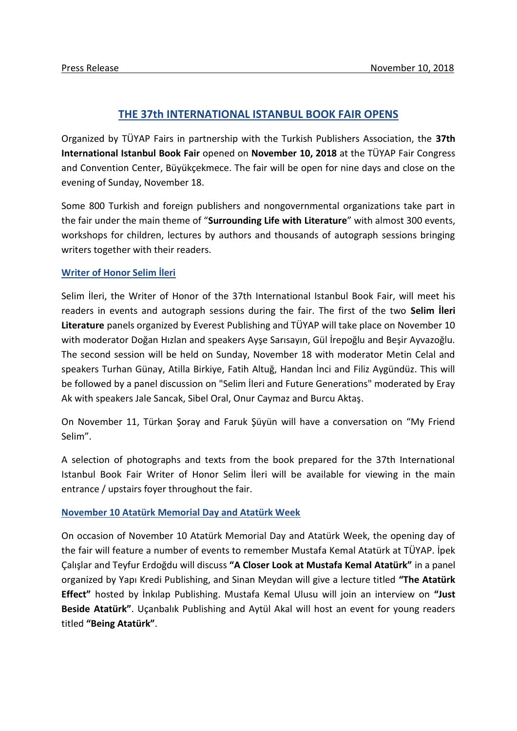# **THE 37th INTERNATIONAL ISTANBUL BOOK FAIR OPENS**

Organized by TÜYAP Fairs in partnership with the Turkish Publishers Association, the **37th International Istanbul Book Fair** opened on **November 10, 2018** at the TÜYAP Fair Congress and Convention Center, Büyükçekmece. The fair will be open for nine days and close on the evening of Sunday, November 18.

Some 800 Turkish and foreign publishers and nongovernmental organizations take part in the fair under the main theme of "**Surrounding Life with Literature**" with almost 300 events, workshops for children, lectures by authors and thousands of autograph sessions bringing writers together with their readers.

## **Writer of Honor Selim İleri**

Selim İleri, the Writer of Honor of the 37th International Istanbul Book Fair, will meet his readers in events and autograph sessions during the fair. The first of the two **Selim İleri Literature** panels organized by Everest Publishing and TÜYAP will take place on November 10 with moderator Doğan Hızlan and speakers Ayşe Sarısayın, Gül İrepoğlu and Beşir Ayvazoğlu. The second session will be held on Sunday, November 18 with moderator Metin Celal and speakers Turhan Günay, Atilla Birkiye, Fatih Altuğ, Handan İnci and Filiz Aygündüz. This will be followed by a panel discussion on "Selim İleri and Future Generations" moderated by Eray Ak with speakers Jale Sancak, Sibel Oral, Onur Caymaz and Burcu Aktaş.

On November 11, Türkan Şoray and Faruk Şüyün will have a conversation on "My Friend Selim".

A selection of photographs and texts from the book prepared for the 37th International Istanbul Book Fair Writer of Honor Selim İleri will be available for viewing in the main entrance / upstairs foyer throughout the fair.

### **November 10 Atatürk Memorial Day and Atatürk Week**

On occasion of November 10 Atatürk Memorial Day and Atatürk Week, the opening day of the fair will feature a number of events to remember Mustafa Kemal Atatürk at TÜYAP. İpek Çalışlar and Teyfur Erdoğdu will discuss **"A Closer Look at Mustafa Kemal Atatürk"** in a panel organized by Yapı Kredi Publishing, and Sinan Meydan will give a lecture titled **"The Atatürk Effect"** hosted by İnkılap Publishing. Mustafa Kemal Ulusu will join an interview on **"Just Beside Atatürk"**. Uçanbalık Publishing and Aytül Akal will host an event for young readers titled **"Being Atatürk"**.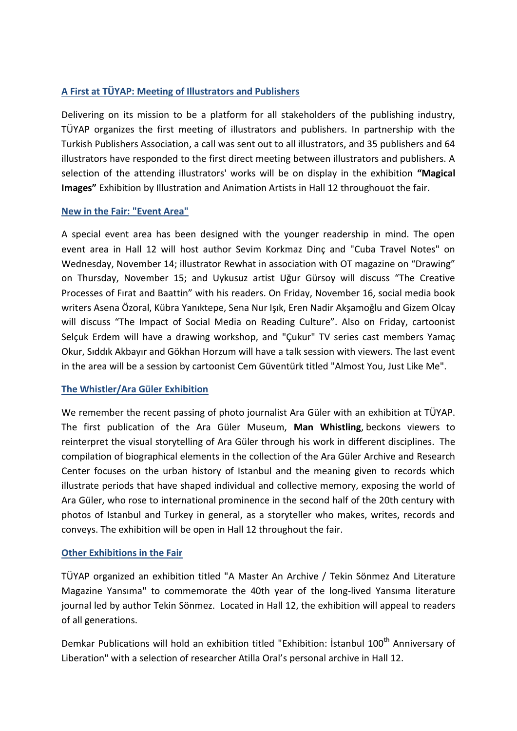## **A First at TÜYAP: Meeting of Illustrators and Publishers**

Delivering on its mission to be a platform for all stakeholders of the publishing industry, TÜYAP organizes the first meeting of illustrators and publishers. In partnership with the Turkish Publishers Association, a call was sent out to all illustrators, and 35 publishers and 64 illustrators have responded to the first direct meeting between illustrators and publishers. A selection of the attending illustrators' works will be on display in the exhibition **"Magical Images"** Exhibition by Illustration and Animation Artists in Hall 12 throughouot the fair.

## **New in the Fair: "Event Area"**

A special event area has been designed with the younger readership in mind. The open event area in Hall 12 will host author Sevim Korkmaz Dinç and "Cuba Travel Notes" on Wednesday, November 14; illustrator Rewhat in association with OT magazine on "Drawing" on Thursday, November 15; and Uykusuz artist Uğur Gürsoy will discuss "The Creative Processes of Fırat and Baattin" with his readers. On Friday, November 16, social media book writers Asena Özoral, Kübra Yanıktepe, Sena Nur Işık, Eren Nadir Akşamoğlu and Gizem Olcay will discuss "The Impact of Social Media on Reading Culture". Also on Friday, cartoonist Selçuk Erdem will have a drawing workshop, and "Çukur" TV series cast members Yamaç Okur, Sıddık Akbayır and Gökhan Horzum will have a talk session with viewers. The last event in the area will be a session by cartoonist Cem Güventürk titled "Almost You, Just Like Me".

### **The Whistler/Ara Güler Exhibition**

We remember the recent passing of photo journalist Ara Güler with an exhibition at TÜYAP. The first publication of the Ara Güler Museum, **Man Whistling**, beckons viewers to reinterpret the visual storytelling of Ara Güler through his work in different disciplines. The compilation of biographical elements in the collection of the Ara Güler Archive and Research Center focuses on the urban history of Istanbul and the meaning given to records which illustrate periods that have shaped individual and collective memory, exposing the world of Ara Güler, who rose to international prominence in the second half of the 20th century with photos of Istanbul and Turkey in general, as a storyteller who makes, writes, records and conveys. The exhibition will be open in Hall 12 throughout the fair.

### **Other Exhibitions in the Fair**

TÜYAP organized an exhibition titled "A Master An Archive / Tekin Sönmez And Literature Magazine Yansıma" to commemorate the 40th year of the long-lived Yansıma literature journal led by author Tekin Sönmez. Located in Hall 12, the exhibition will appeal to readers of all generations.

Demkar Publications will hold an exhibition titled "Exhibition: İstanbul 100<sup>th</sup> Anniversary of Liberation" with a selection of researcher Atilla Oral's personal archive in Hall 12.